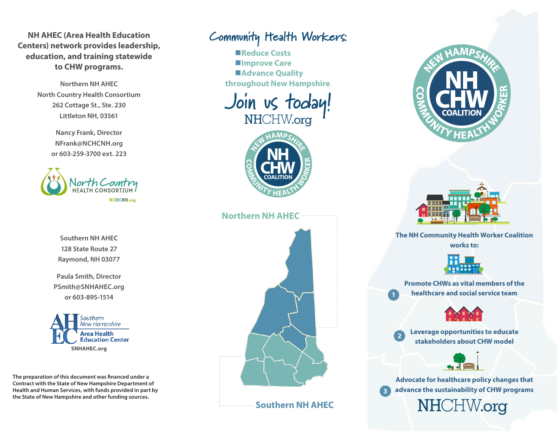**NH AHEC (Area Health Education Centers) network provides leadership, education, and training statewide to CHW programs.**

> **Northern NH AHEC North Country Health Consortium 262 Cottage St., Ste. 230 Littleton NH, 03561**

> > **Nancy Frank, Director NFrank@NCHCNH.org or 603-259-3700 ext. 223**



**Southern NH AHEC 128 State Route 27 Raymond, NH 03077**

**Paula Smith, Director PSmith@SNHAHEC.org or 603-895-1514**



**The preparation of this document was financed under a Contract with the State of New Hampshire Department of Health and Human Services, with funds provided in part by the State of New Hampshire and other funding sources.**

# **Community Health Workers:**

**■Reduce Costs**  $\blacksquare$ **Improve Care** ■Advance Quality **throughout New Hampshire**.





#### **Northern NH AHEC**



**Southern NH AHEC** 1. . . . . . . . . . . . . . .





**The NH Community Health Worker Coalition works to:**



**Promote CHWs as vital members of the healthcare and social service team**



**Leverage opportunities to educate stakeholders about CHW model**

**2**



**Advocate for healthcare policy changes that advance the sustainability of CHW programs 3** NHCHW.org